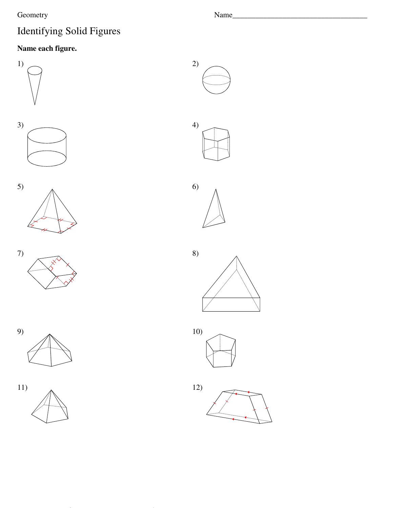## Geometry

 $\bar{z}$ 

9)

 $11)$ 

# Identifying Solid Figures

## Name each figure.











Name\_\_\_

 $2)$ 

 $4)$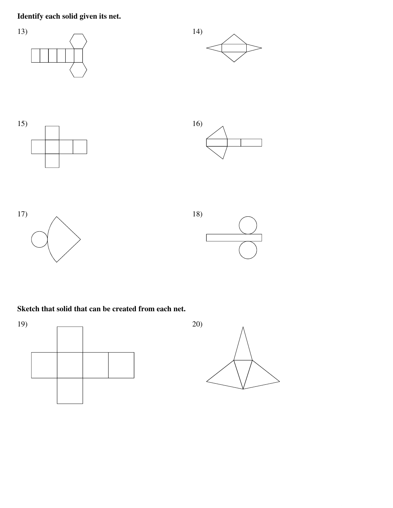### Identify each solid given its net.



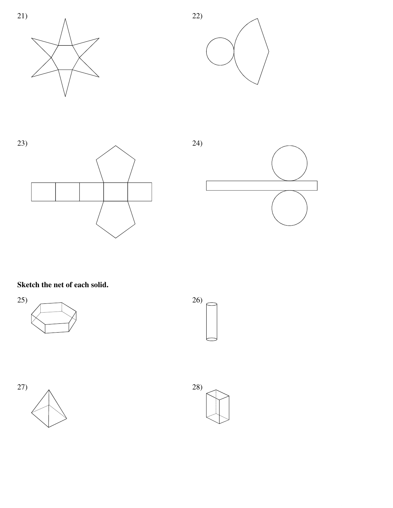







### Sketch the net of each solid.







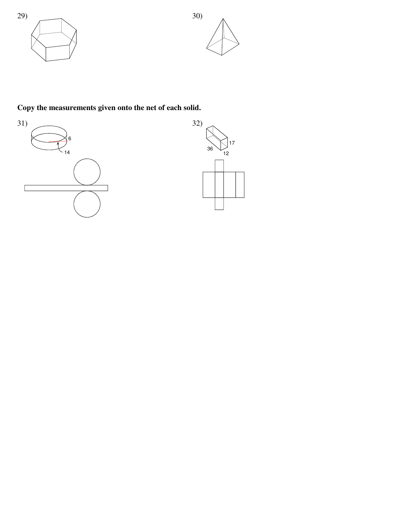



## Copy the measurements given onto the net of each solid.



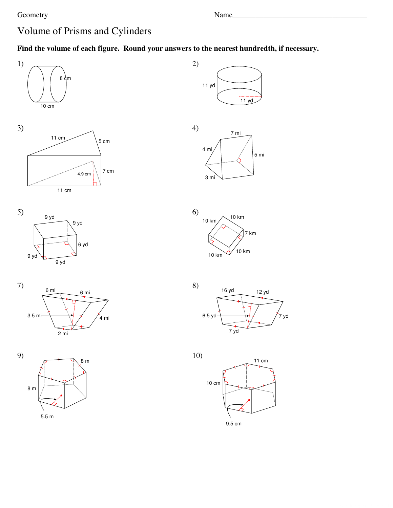#### Geometry

 $5.5 m$ 

Name\_

# Volume of Prisms and Cylinders

### Find the volume of each figure. Round your answers to the nearest hundredth, if necessary.



5 mi





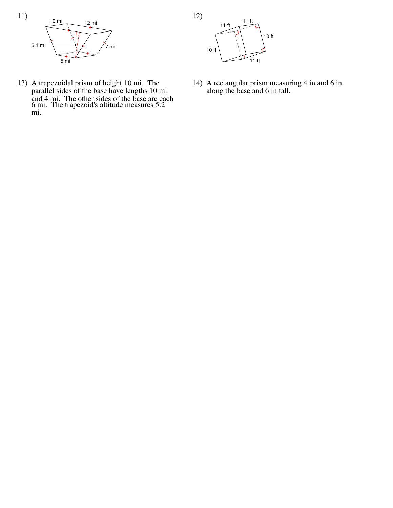

13) A trapezoidal prism of height 10 mi. The parallel sides of the base have lengths 10 mi and 4 mi. The other sides of the base are each 6 mi. The trapezoid's altitude measures 5.2 mi.



14) A rectangular prism measuring 4 in and 6 in along the base and 6 in tall.

12)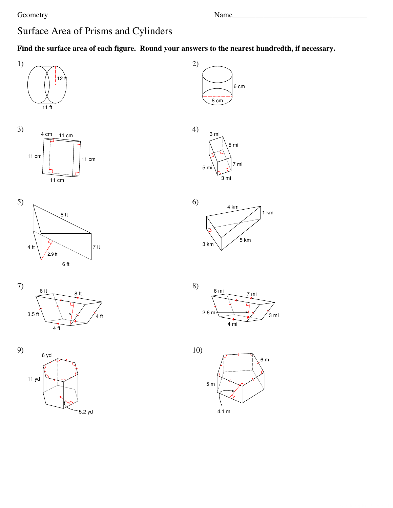#### Geometry **Example 2** and the Name **Name Name Name** *Name Name Name Name Name Name Name Name Name Name Name Name Name Name Name Name Name NAME NAM*

# Surface Area of Prisms and Cylinders

©1 Q200A1225 JK7uXtna1 SSzoRfztqwuasrVej RLiLRCw.n <sup>j</sup> 1A8lAlN mr5iBgWht Csl ErYens0evrPvSekdT.S

5.2 yd

**Find the surface area of each figure. Round your answers to the nearest hundredth, if necessary.**





1 km

3 mi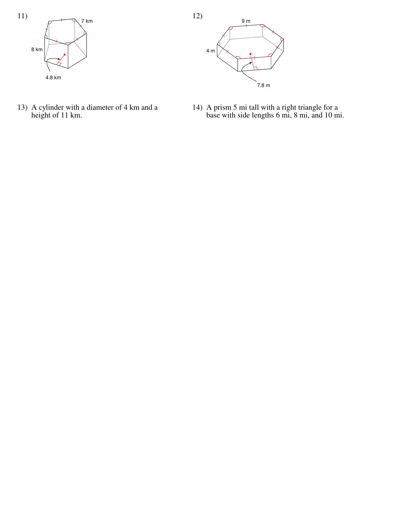

13) A cylinder with a diameter of 4 km and a<br>height of 11 km.



14) A prism 5 mi tall with a right triangle for a<br>base with side lengths 6 mi, 8 mi, and 10 mi.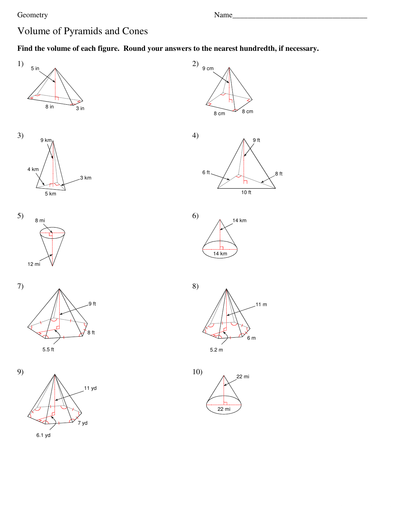$8<sup>th</sup>$ 

 $.11 \text{ m}$ 

# Volume of Pyramids and Cones

### Find the volume of each figure. Round your answers to the nearest hundredth, if necessary.



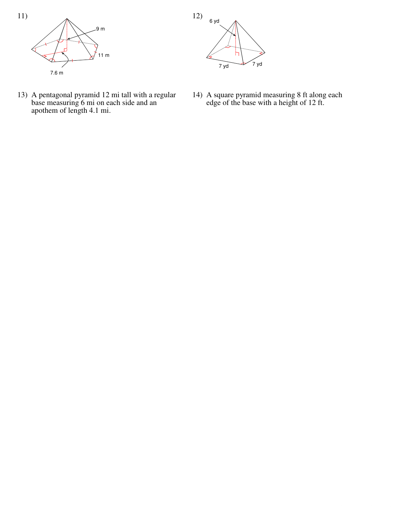

13) A pentagonal pyramid 12 mi tall with a regular<br>base measuring 6 mi on each side and an<br>apothem of length 4.1 mi.



14) A square pyramid measuring 8 ft along each<br>edge of the base with a height of 12 ft.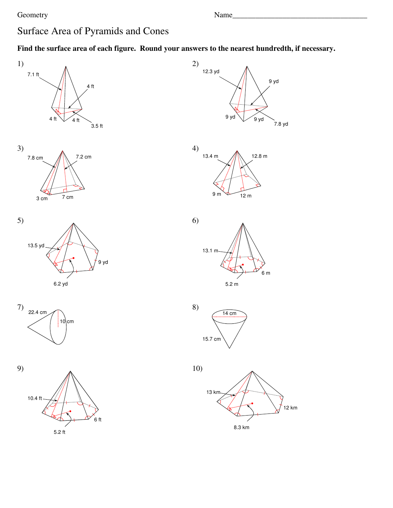# Surface Area of Pyramids and Cones

### Find the surface area of each figure. Round your answers to the nearest hundredth, if necessary.

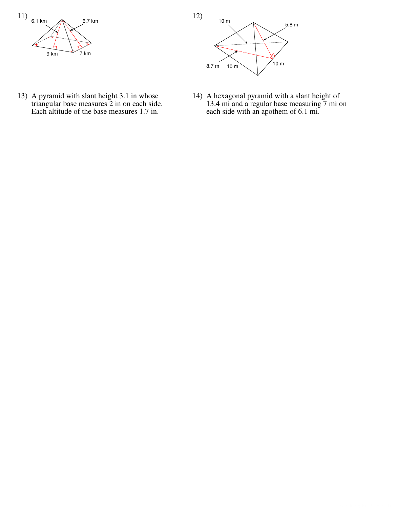

13) A pyramid with slant height 3.1 in whose triangular base measures 2 in on each side. Each altitude of the base measures 1.7 in.



14) A hexagonal pyramid with a slant height of 13.4 mi and a regular base measuring 7 mi on each side with an apothem of 6.1 mi.